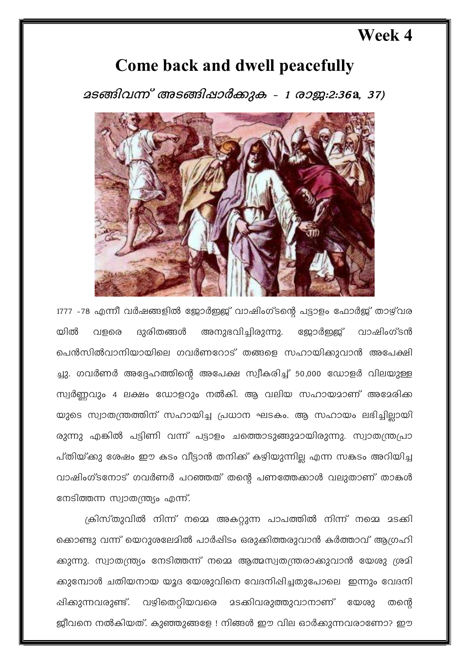## **Week 4**

## **Come back and dwell peacefully**

25ങ്ങിവന്ന് അടങ്ങിഷാർക്കുക - 1 രാജ:2:36a, 37)



1777 -78 എന്നീ വർഷങ്ങളിൽ ജോർഇജ് വാഷിംഗ്ടന്റെ പട്ടാളം ഫോർജ് താഴ്വര യിൽ വളരെ ദുരിതങ്ങൾ അനുഭവിച്ചിരുന്നു. ജോർഇ്ള് വാഷിംഗ്ടൻ പെൻസിൽവാനിയായിലെ ഗവർണറോട് തങ്ങളെ സഹായിക്കുവാൻ അപേക്ഷി ച്ചു. ഗവർണർ അദ്ദേഹത്തിന്റെ അപേക്ഷ സ്വീകരിച്ച് 50,000 ഡോളർ വിലയുള്ള സ്വർണ്ണവും 4 ലക്ഷം ഡോളറും നൽകി. ആ വലിയ സഹായമാണ് അമേരിക്ക യുടെ സ്വാതന്ത്രത്തിന് സഹായിച്ച പ്രധാന ഘടകം. ആ സഹായം ലഭിച്ചില്ലായി രുന്നു എങ്കിൽ പട്ടിണി വന്ന് പട്ടാളം ചത്തൊടുങ്ങുമായിരുന്നു. സ്വാതന്ത്രപ്രാ പ്തിയ്ക്കു ശേഷം ഈ കടം വീട്ടാൻ തനിക്ക് കഴിയുന്നില്ല എന്ന സകടം അറിയിച്ച വാഷിംഗ്ടനോട് ഗവർണർ പറഞ്ഞത് തന്റെ പണത്തേക്കാൾ വലുതാണ് താങ്കൾ നേടിത്തന്ന സ്വാതന്ത്ര്യം എന്ന്.

ക്രിസ്തുവിൽ നിന്ന് നമ്മെ അകറ്റുന്ന പാപത്തിൽ നിന്ന് നമ്മെ മടക്കി ക്കൊണ്ടു വന്ന് യെറുശലേമിൽ പാർഷിടം ഒരുക്കിത്തരുവാൻ കർത്താവ് ആഗ്രഹി ക്കുന്നു. സ്വാതന്ത്ര്യം നേടിത്തന്ന് നമ്മെ ആത്മസ്വതന്ത്രരാക്കുവാൻ യേശു ശ്രമി ക്കുമ്പോൾ ചതിയനായ യൂദ യേശുവിനെ വേദനിപ്പിച്ചതുപോലെ ഇന്നും വേദനി ഷിക്കുന്നവരുണ്ട്. വഴിതെറ്റിയവരെ മടക്കിവരുത്തുവാനാണ് യേശു തന്തെ ജീവനെ നൽകിയത്. കുഞ്ഞുങ്ങളേ ! നിങ്ങൾ ഈ വില ഓർക്കുന്നവരാണോ? ഈ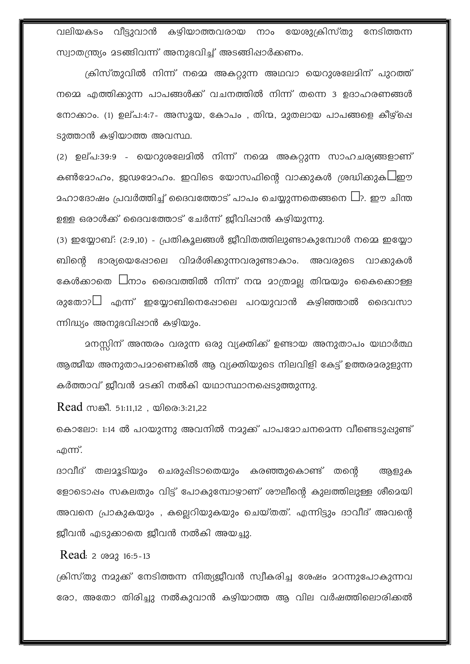വലിയകടം വീട്ടുവാൻ കഴിയാത്തവരായ നാം യേശുക്രിസ്തു നേടിത്തന്ന സ്വാതന്ത്ര്യം മടങ്ങിവന്ന് അനുഭവിച്ച് അടങ്ങിഷാർക്കണം.

ക്രിസ്തുവിൽ നിന്ന് നമ്മെ അകറ്റുന്ന അഥവാ യെറുശലേമിന് പുറത്ത് നമ്മെ എത്തിക്കുന്ന പാപങ്ങൾക്ക് വചനത്തിൽ നിന്ന് തന്നെ 3 ഉദാഹരണങ്ങൾ നോക്കാം. (1) ഉല്പ:4:7- അസൂയ, കോപം , തിന്മ, മുതലായ പാപങ്ങളെ കീഴ്ചെ ടുത്താൻ കഴിയാത്ത അവസ്ഥ.

(2) ഉല്പ:39:9 - യെറുശലേമിൽ നിന്ന് നമ്മെ അകറ്റുന്ന സാഹചര്യങ്ങളാണ് കൺമോഹം, ജഢമോഹം. ഇവിടെ യോസഫിന്റെ വാക്കുകൾ ശ്രദ്ധിക്കുക $\square$ ഈ  $\alpha$ ഹാദോഷം പ്രവർത്തിച്ച് ദൈവത്തോട് പാപം ചെയ്യുന്നതെങ്ങനെ  $\square$ ?. ഈ ചിന്ത ഉള്ള ഒരാൾക്ക് ദൈവത്തോട് ചേർന്ന് ജീവിപ്പാൻ കഴിയുന്നു.

(3) ഇയ്യോബ്: (2:9,10) - പ്രതികൂലങ്ങൾ ജീവിതത്തിലുണ്ടാകുമ്പോൾ നമ്മെ ഇയ്യോ ബിന്റെ ഭാര്യയെഷോലെ വിമർശിക്കുന്നവരുണ്ടാകാം. അവരുടെ വാക്കുകൾ കേൾക്കാതെ  $\Box$ നാം ദൈവത്തിൽ നിന്ന് നന്മ മാത്രമല്ല തിന്മയും കൈക്കൊള്ള രുതോ? $\Box$  എന്ന് ഇയ്യോബിനെഷോലെ പറയുവാൻ കഴിഞ്ഞാൽ ദൈവസാ ന്നിദ്ധ്യം അനുഭവിഷാൻ കഴിയും.

ആത്മീയ അനുതാപമാണെങ്കിൽ ആ വ്യക്തിയുടെ നിലവിളി കേട്ട് ഉത്തരമരുളുന്ന കർത്താവ് ജീവൻ മടക്കി നൽകി യഥാസ്ഥാനപ്പെടുത്തുന്നു.

Read സങ്കീ. 51:11,12, യിരെ:3:21,22

കൊലോ: 1:14 ൽ പറയുന്നു അവനിൽ നമുക്ക് പാപമോചനമെന്ന വീണ്ടെടുപ്പുണ്ട് എന്ന്.

ദാവീദ് തലമൂടിയും ചെരുപ്പിടാതെയും കരഞ്ഞുകൊണ്ട് തന്റെ അളുക ളോടൊഷം സകലതും വിട്ട് പോകുമ്പോഴാണ് ശൗലീന്റെ കുലത്തിലുള്ള ശീമെയി അവനെ പ്രാകുകയും , കല്ലെറിയുകയും ചെയ്തത്. എന്നിട്ടും ദാവീദ് അവന്റെ ജീവൻ എടുക്കാതെ ജീവൻ നൽകി അയച്ചു.

Read:  $2 \text{ to } 2316:5-13$ 

ക്രിസ്തു നമുക്ക് നേടിത്തന്ന നിത്യജീവൻ സ്വീകരിച്ച ശേഷം മറന്നുപോകുന്നവ രോ, അതോ തിരിച്ചു നൽകുവാൻ കഴിയാത്ത ആ വില വർഷത്തിലൊരിക്കൽ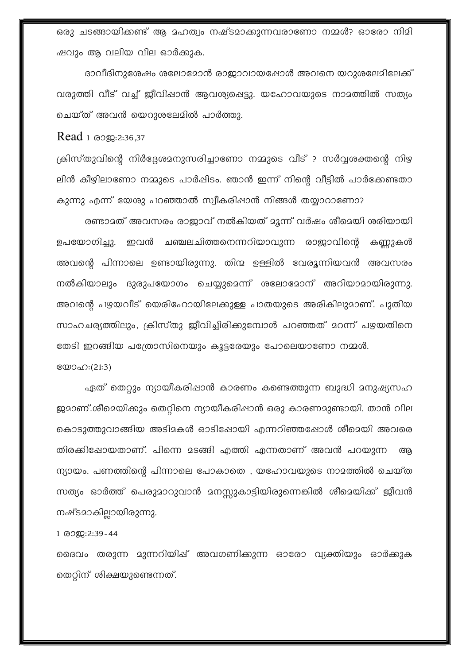ഒരു ചടങ്ങായിക്കണ്ട് ആ മഹത്വം നഷ്ടമാക്കുന്നവരാണോ നമ്മൾ? ഓരോ നിമി ഷവും ആ വലിയ വില ഓർക്കുക.

ദാവീദിനുശേഷം ശലോമോൻ രാജാവായപ്പോൾ അവനെ യറുശലേമിലേക്ക് വരുത്തി വീട് വച്ച് ജീവിഷാൻ ആവശ്യപ്പെട്ടു. യഹോവയുടെ നാമത്തിൽ സത്യം ചെയ്ത് അവൻ യെറുശലേമിൽ പാർത്തു.

Read 1 രാജ:2:36,37

ക്രിസ്തുവിന്റെ നിർദ്ദേശമനുസരിച്ചാണോ നമ്മുടെ വീട് ? സർവ്വശക്തന്റെ നിഴ ലിൻ കീഴിലാണോ നമ്മുടെ പാർഷിടം. ഞാൻ ഇന്ന് നിന്റെ വീട്ടിൽ പാർക്കേണ്ടതാ കുന്നു എന്ന് യേശു പറഞ്ഞാൽ സ്വീകരിഷാൻ നിങ്ങൾ തയ്യാറാണോ?

രണ്ടാമത് അവസരം രാജാവ് നൽകിയത് മൂന്ന് വർഷം ശീമെയി ശരിയായി ഉപയോഗിച്ചു. ഇവൻ ചഞ്ചലചിത്തനെന്നറിയാവുന്ന രാജാവിന്റെ കണ്ണുകൾ അവന്റെ പിന്നാലെ ഉണ്ടായിരുന്നു. തിന്മ ഉള്ളിൽ വേരൂന്നിയവൻ അവസരം നൽകിയാലും ദുരുപയോഗം ചെയ്യുമെന്ന് ശലോമോന് അറിയാമായിരുന്നു. അവന്റെ പഴയവീട് യെരിഹോയിലേക്കുള്ള പാതയുടെ അരികിലുമാണ്. പുതിയ സാഹചര്യത്തിലും, ക്രിസ്തു ജീവിച്ചിരിക്കുമ്പോൾ പറഞ്ഞത് മറന്ന് പഴയതിനെ തേടി ഇറങ്ങിയ പത്രോസിനെയും കൂട്ടരേയും പോലെയാണോ നമ്മൾ.

യോഹ:(21:3)

ഏത് തെറ്റും ന്യായീകരിഷാൻ കാരണം കണ്ടെത്തുന്ന ബുദ്ധി മനുഷ്യസഹ ജ്യമാണ്.ശീമെയിക്കും തെറ്റിനെ ന്യായീകരിഷാൻ ഒരു കാരണമുണ്ടായി. താൻ വില കൊടുത്തുവാങ്ങിയ അടിമകൾ ഓടിപ്പോയി എന്നറിഞ്ഞപ്പോൾ ശീമെയി അവരെ തിരക്കിഷോയതാണ്. പിന്നെ മടങ്ങി എത്തി എന്നതാണ് അവൻ പറയുന്ന അ ന്യായം. പണത്തിന്റെ പിന്നാലെ പോകാതെ , യഹോവയുടെ നാമത്തിൽ ചെയ്ത സത്യം ഓർത്ത് പെരുമാറുവാൻ മനസ്സുകാട്ടിയിരുന്നെങ്കിൽ ശീമെയിക്ക് ജീവൻ നഷ്ടമാകില്ലായിരുന്നു.

1 രാജ:2:39-44

ദൈവം തരുന്ന മുന്നറിയിഷ് അവഗണിക്കുന്ന ഓരോ വ്യക്തിയും ഓർക്കുക തെറ്റിന് ശിക്ഷയുണ്ടെന്നത്.